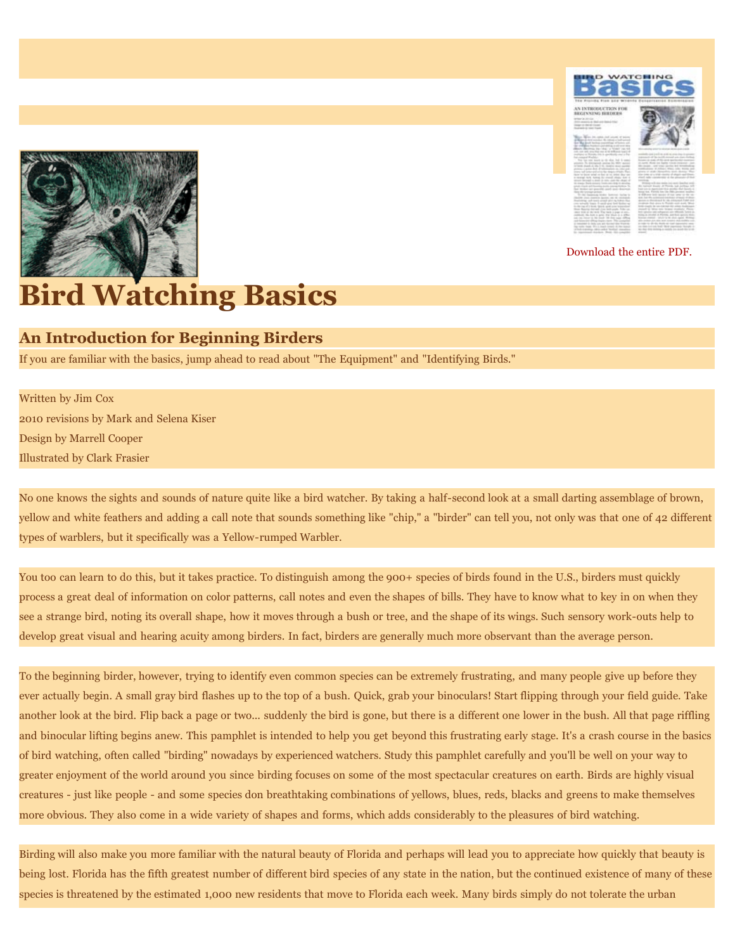

[Download the entire PDF.](http://www.semtribe.com/Services/ERMD/PDF/Bird_Watching_Basics_2010.pdf)



## **Bird Watching Basics**

## **An Introduction for Beginning Birders**

If you are familiar with the basics, jump ahead to read about "The Equipment" and "Identifying Birds."

Written by Jim Cox 2010 revisions by Mark and Selena Kiser Design by Marrell Cooper Illustrated by Clark Frasier

No one knows the sights and sounds of nature quite like a bird watcher. By taking a half-second look at a small darting assemblage of brown, yellow and white feathers and adding a call note that sounds something like "chip," a "birder" can tell you, not only was that one of 42 different types of warblers, but it specifically was a Yellow-rumped Warbler.

You too can learn to do this, but it takes practice. To distinguish among the 900+ species of birds found in the U.S., birders must quickly process a great deal of information on color patterns, call notes and even the shapes of bills. They have to know what to key in on when they see a strange bird, noting its overall shape, how it moves through a bush or tree, and the shape of its wings. Such sensory work-outs help to develop great visual and hearing acuity among birders. In fact, birders are generally much more observant than the average person.

To the beginning birder, however, trying to identify even common species can be extremely frustrating, and many people give up before they ever actually begin. A small gray bird flashes up to the top of a bush. Quick, grab your binoculars! Start flipping through your field guide. Take another look at the bird. Flip back a page or two... suddenly the bird is gone, but there is a different one lower in the bush. All that page riffling and binocular lifting begins anew. This pamphlet is intended to help you get beyond this frustrating early stage. It's a crash course in the basics of bird watching, often called "birding" nowadays by experienced watchers. Study this pamphlet carefully and you'll be well on your way to greater enjoyment of the world around you since birding focuses on some of the most spectacular creatures on earth. Birds are highly visual creatures - just like people - and some species don breathtaking combinations of yellows, blues, reds, blacks and greens to make themselves more obvious. They also come in a wide variety of shapes and forms, which adds considerably to the pleasures of bird watching.

Birding will also make you more familiar with the natural beauty of Florida and perhaps will lead you to appreciate how quickly that beauty is being lost. Florida has the fifth greatest number of different bird species of any state in the nation, but the continued existence of many of these species is threatened by the estimated 1,000 new residents that move to Florida each week. Many birds simply do not tolerate the urban